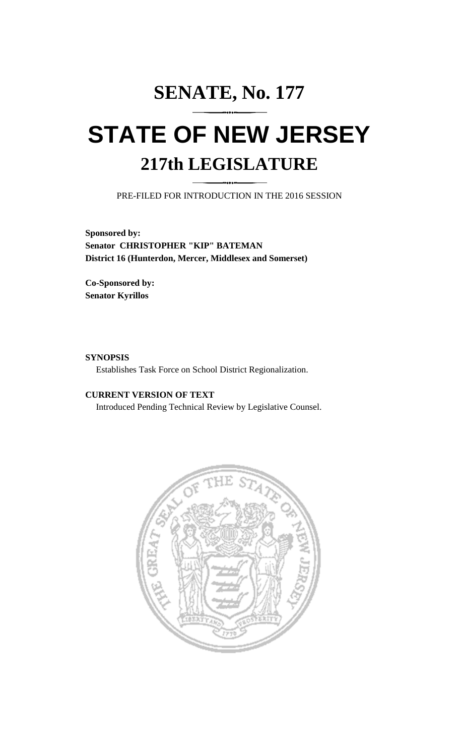# **SENATE, No. 177 STATE OF NEW JERSEY 217th LEGISLATURE**

PRE-FILED FOR INTRODUCTION IN THE 2016 SESSION

**Sponsored by: Senator CHRISTOPHER "KIP" BATEMAN District 16 (Hunterdon, Mercer, Middlesex and Somerset)**

**Co-Sponsored by: Senator Kyrillos**

#### **SYNOPSIS**

Establishes Task Force on School District Regionalization.

## **CURRENT VERSION OF TEXT**

Introduced Pending Technical Review by Legislative Counsel.

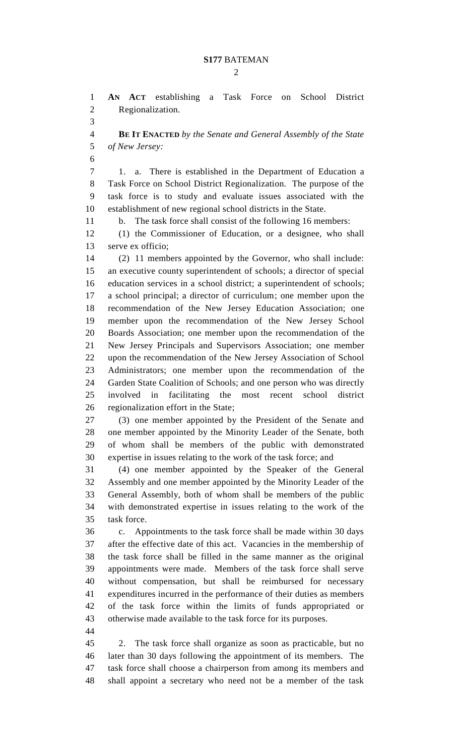$\mathcal{D}_{\mathcal{L}}$ 

 **AN ACT** establishing a Task Force on School District Regionalization.

 **BE IT ENACTED** *by the Senate and General Assembly of the State of New Jersey:*

 1. a. There is established in the Department of Education a Task Force on School District Regionalization. The purpose of the task force is to study and evaluate issues associated with the establishment of new regional school districts in the State.

b. The task force shall consist of the following 16 members:

 (1) the Commissioner of Education, or a designee, who shall serve ex officio;

 (2) 11 members appointed by the Governor, who shall include: an executive county superintendent of schools; a director of special education services in a school district; a superintendent of schools; a school principal; a director of curriculum; one member upon the recommendation of the New Jersey Education Association; one member upon the recommendation of the New Jersey School Boards Association; one member upon the recommendation of the New Jersey Principals and Supervisors Association; one member upon the recommendation of the New Jersey Association of School Administrators; one member upon the recommendation of the Garden State Coalition of Schools; and one person who was directly involved in facilitating the most recent school district regionalization effort in the State;

 (3) one member appointed by the President of the Senate and one member appointed by the Minority Leader of the Senate, both of whom shall be members of the public with demonstrated expertise in issues relating to the work of the task force; and

 (4) one member appointed by the Speaker of the General Assembly and one member appointed by the Minority Leader of the General Assembly, both of whom shall be members of the public with demonstrated expertise in issues relating to the work of the task force.

 c. Appointments to the task force shall be made within 30 days after the effective date of this act. Vacancies in the membership of the task force shall be filled in the same manner as the original appointments were made. Members of the task force shall serve without compensation, but shall be reimbursed for necessary expenditures incurred in the performance of their duties as members of the task force within the limits of funds appropriated or otherwise made available to the task force for its purposes.

 2. The task force shall organize as soon as practicable, but no later than 30 days following the appointment of its members. The task force shall choose a chairperson from among its members and shall appoint a secretary who need not be a member of the task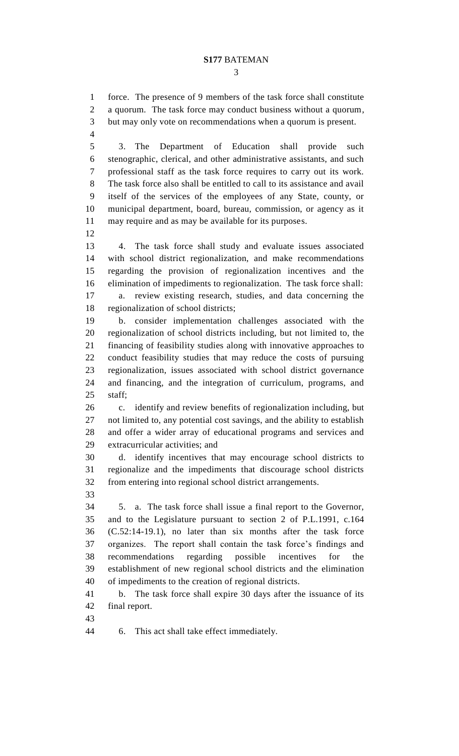force. The presence of 9 members of the task force shall constitute a quorum. The task force may conduct business without a quorum, but may only vote on recommendations when a quorum is present.

 3. The Department of Education shall provide such stenographic, clerical, and other administrative assistants, and such professional staff as the task force requires to carry out its work. The task force also shall be entitled to call to its assistance and avail itself of the services of the employees of any State, county, or municipal department, board, bureau, commission, or agency as it may require and as may be available for its purposes.

 4. The task force shall study and evaluate issues associated with school district regionalization, and make recommendations regarding the provision of regionalization incentives and the elimination of impediments to regionalization. The task force shall: a. review existing research, studies, and data concerning the regionalization of school districts;

 b. consider implementation challenges associated with the regionalization of school districts including, but not limited to, the financing of feasibility studies along with innovative approaches to conduct feasibility studies that may reduce the costs of pursuing regionalization, issues associated with school district governance and financing, and the integration of curriculum, programs, and staff;

 c. identify and review benefits of regionalization including, but not limited to, any potential cost savings, and the ability to establish and offer a wider array of educational programs and services and extracurricular activities; and

 d. identify incentives that may encourage school districts to regionalize and the impediments that discourage school districts from entering into regional school district arrangements.

 5. a. The task force shall issue a final report to the Governor, and to the Legislature pursuant to section 2 of P.L.1991, c.164 (C.52:14-19.1), no later than six months after the task force organizes. The report shall contain the task force's findings and recommendations regarding possible incentives for the establishment of new regional school districts and the elimination of impediments to the creation of regional districts.

 b. The task force shall expire 30 days after the issuance of its final report.

6. This act shall take effect immediately.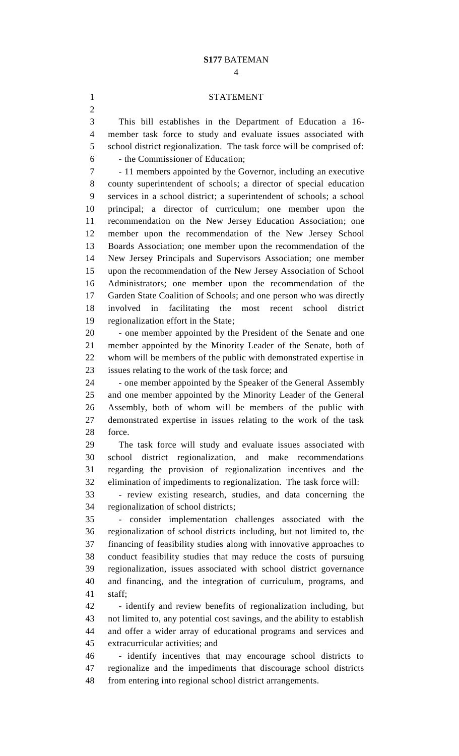#### STATEMENT

 This bill establishes in the Department of Education a 16- member task force to study and evaluate issues associated with school district regionalization. The task force will be comprised of: - the Commissioner of Education;

 - 11 members appointed by the Governor, including an executive county superintendent of schools; a director of special education services in a school district; a superintendent of schools; a school principal; a director of curriculum; one member upon the recommendation on the New Jersey Education Association; one member upon the recommendation of the New Jersey School Boards Association; one member upon the recommendation of the New Jersey Principals and Supervisors Association; one member upon the recommendation of the New Jersey Association of School Administrators; one member upon the recommendation of the Garden State Coalition of Schools; and one person who was directly involved in facilitating the most recent school district regionalization effort in the State;

 - one member appointed by the President of the Senate and one member appointed by the Minority Leader of the Senate, both of whom will be members of the public with demonstrated expertise in issues relating to the work of the task force; and

 - one member appointed by the Speaker of the General Assembly and one member appointed by the Minority Leader of the General Assembly, both of whom will be members of the public with demonstrated expertise in issues relating to the work of the task force.

 The task force will study and evaluate issues associated with school district regionalization, and make recommendations regarding the provision of regionalization incentives and the elimination of impediments to regionalization. The task force will:

 - review existing research, studies, and data concerning the regionalization of school districts;

 - consider implementation challenges associated with the regionalization of school districts including, but not limited to, the financing of feasibility studies along with innovative approaches to conduct feasibility studies that may reduce the costs of pursuing regionalization, issues associated with school district governance and financing, and the integration of curriculum, programs, and staff;

 - identify and review benefits of regionalization including, but not limited to, any potential cost savings, and the ability to establish and offer a wider array of educational programs and services and extracurricular activities; and

 - identify incentives that may encourage school districts to regionalize and the impediments that discourage school districts from entering into regional school district arrangements.